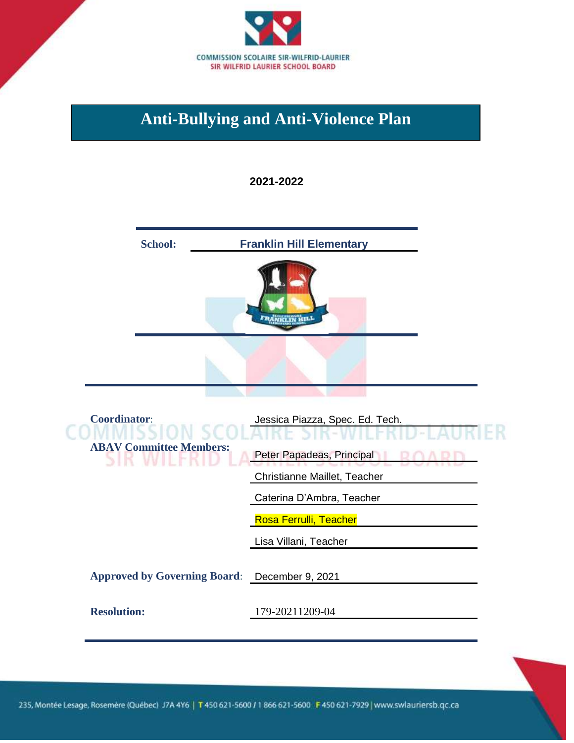

### **Anti-Bullying and Anti-Violence Plan**

#### **2021-2022**



235, Montée Lesage, Rosemère (Québec) J7A 4Y6 | T 450 621-5600 / 1 866 621-5600 F 450 621-7929 | www.swlauriersb.qc.ca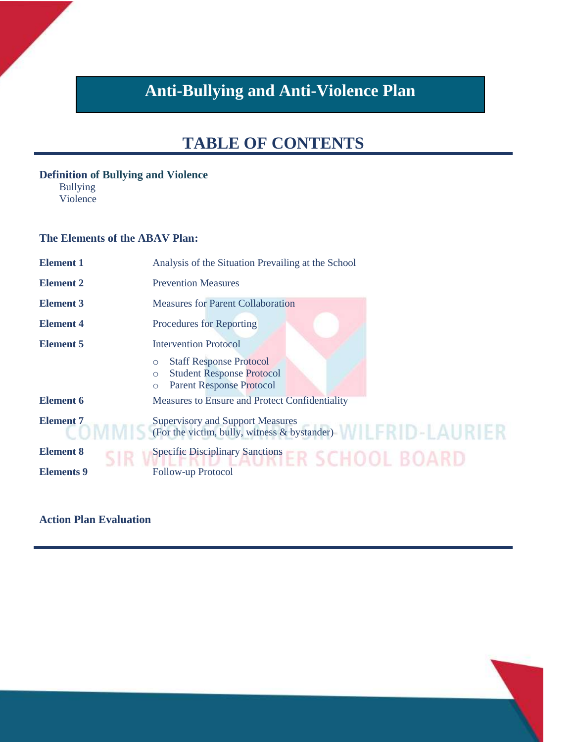## **Anti-Bullying and Anti-Violence Plan**

## **TABLE OF CONTENTS**

#### **Definition of Bullying and Violence**

Bullying Violence

#### **The Elements of the ABAV Plan:**

| <b>Element 1</b>  | Analysis of the Situation Prevailing at the School                                                                               |  |
|-------------------|----------------------------------------------------------------------------------------------------------------------------------|--|
| <b>Element 2</b>  | <b>Prevention Measures</b>                                                                                                       |  |
| <b>Element 3</b>  | <b>Measures for Parent Collaboration</b>                                                                                         |  |
| <b>Element 4</b>  | <b>Procedures for Reporting</b>                                                                                                  |  |
| <b>Element 5</b>  | <b>Intervention Protocol</b>                                                                                                     |  |
|                   | <b>Staff Response Protocol</b><br>$\circ$<br><b>Student Response Protocol</b><br>$\circ$<br><b>Parent Response Protocol</b><br>O |  |
| Element 6         | Measures to Ensure and Protect Confidentiality                                                                                   |  |
| <b>Element 7</b>  | <b>Supervisory and Support Measures</b><br>(For the victim, bully, witness $\&$ by stander)                                      |  |
| <b>Element 8</b>  | Specific Disciplinary Sanctions FRSCHOOL BOARD                                                                                   |  |
| <b>Elements</b> 9 | Follow-up Protocol                                                                                                               |  |

#### **Action Plan Evaluation**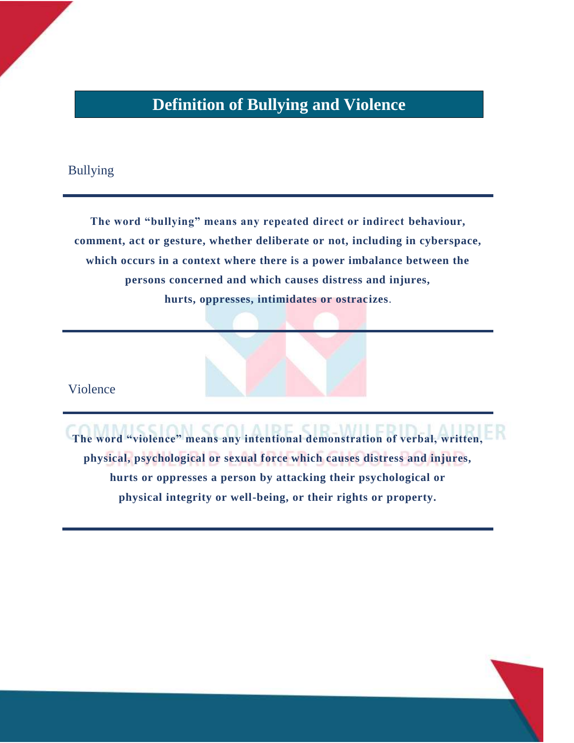### **Definition of Bullying and Violence**

#### Bullying

**The word "bullying" means any repeated direct or indirect behaviour, comment, act or gesture, whether deliberate or not, including in cyberspace, which occurs in a context where there is a power imbalance between the persons concerned and which causes distress and injures, hurts, oppresses, intimidates or ostracizes**.

Violence

**The word "violence" means any intentional demonstration of verbal, written, physical, psychological or sexual force which causes distress and injures, hurts or oppresses a person by attacking their psychological or physical integrity or well-being, or their rights or property.**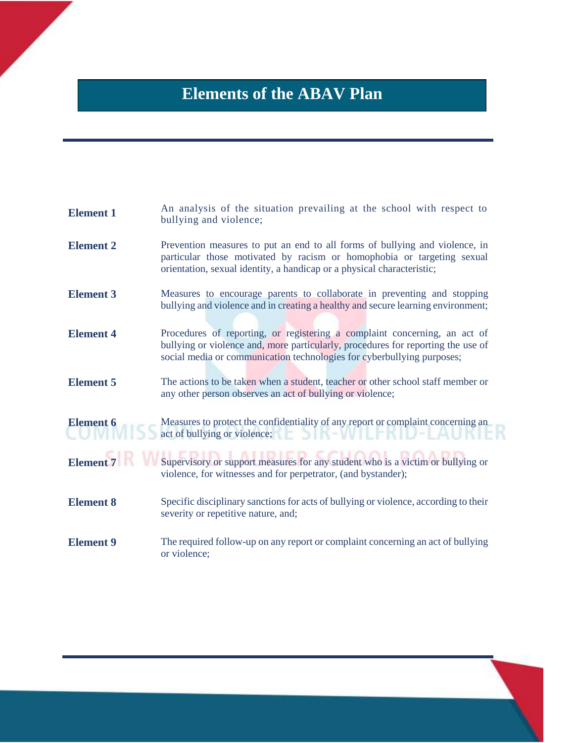## **Elements of the ABAV Plan**

| <b>Element 1</b> | An analysis of the situation prevailing at the school with respect to<br>bullying and violence;                                                                                                                                         |  |
|------------------|-----------------------------------------------------------------------------------------------------------------------------------------------------------------------------------------------------------------------------------------|--|
| <b>Element 2</b> | Prevention measures to put an end to all forms of bullying and violence, in<br>particular those motivated by racism or homophobia or targeting sexual<br>orientation, sexual identity, a handicap or a physical characteristic;         |  |
| <b>Element 3</b> | Measures to encourage parents to collaborate in preventing and stopping<br>bullying and violence and in creating a healthy and secure learning environment;                                                                             |  |
| <b>Element 4</b> | Procedures of reporting, or registering a complaint concerning, an act of<br>bullying or violence and, more particularly, procedures for reporting the use of<br>social media or communication technologies for cyberbullying purposes; |  |
| <b>Element 5</b> | The actions to be taken when a student, teacher or other school staff member or<br>any other person observes an act of bullying or violence;                                                                                            |  |
| <b>Element 6</b> | Measures to protect the confidentiality of any report or complaint concerning an<br>act of bullying or violence;                                                                                                                        |  |
| <b>Element 7</b> | Supervisory or support measures for any student who is a victim or bullying or<br>violence, for witnesses and for perpetrator, (and bystander);                                                                                         |  |
| <b>Element 8</b> | Specific disciplinary sanctions for acts of bullying or violence, according to their<br>severity or repetitive nature, and;                                                                                                             |  |
| <b>Element 9</b> | The required follow-up on any report or complaint concerning an act of bullying<br>or violence;                                                                                                                                         |  |
|                  |                                                                                                                                                                                                                                         |  |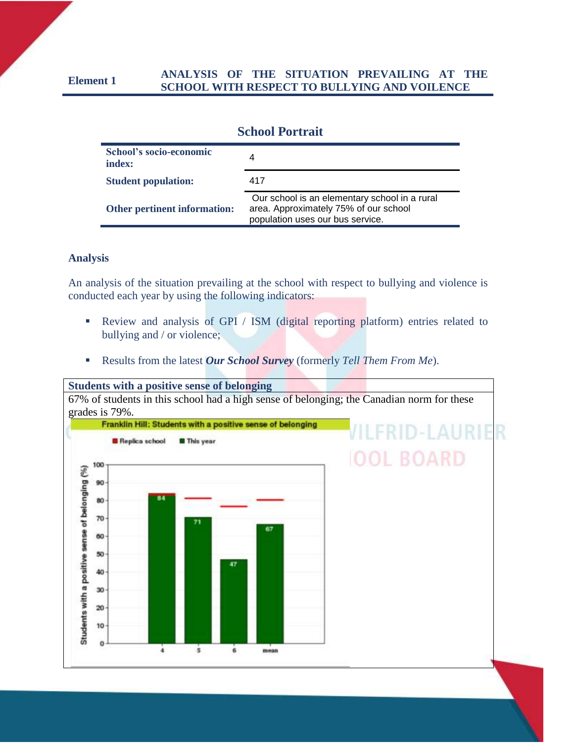#### **Element 1 ANALYSIS OF THE SITUATION PREVAILING AT THE SCHOOL WITH RESPECT TO BULLYING AND VOILENCE**

| <b>School Portrait</b>            |                                                                                                                            |  |
|-----------------------------------|----------------------------------------------------------------------------------------------------------------------------|--|
| School's socio-economic<br>index: | 4                                                                                                                          |  |
| <b>Student population:</b>        | 417                                                                                                                        |  |
| Other pertinent information:      | Our school is an elementary school in a rural<br>area. Approximately 75% of our school<br>population uses our bus service. |  |

#### **Analysis**

An analysis of the situation prevailing at the school with respect to bullying and violence is conducted each year by using the following indicators:

- **EXECUTE:** Review and analysis of GPI / ISM (digital reporting platform) entries related to bullying and / or violence;
- Results from the latest *Our School Survey* (formerly *Tell Them From Me*).

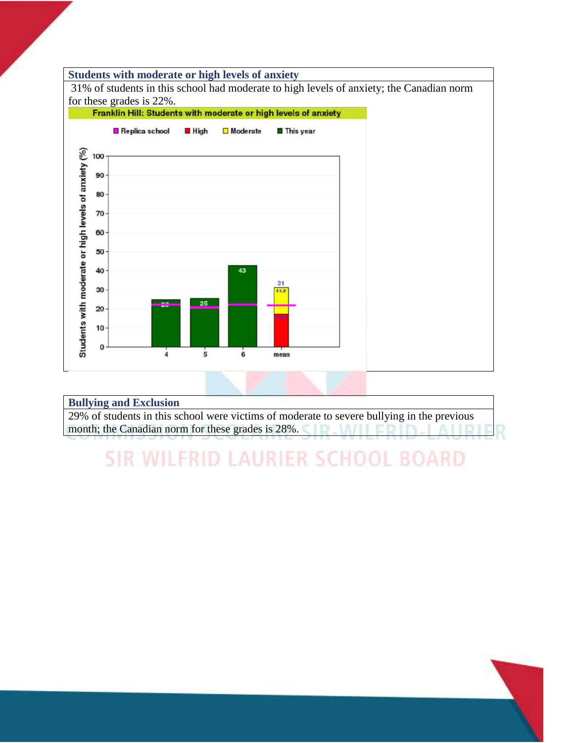#### **Students with moderate or high levels of anxiety**

31% of students in this school had moderate to high levels of anxiety; the Canadian norm



#### **Bullying and Exclusion**

29% of students in this school were victims of moderate to severe bullying in the previous month; the Canadian norm for these grades is 28%. ID MIL  $11D11$ 

## **SIR WILFRID LAURIER SCHOOL BOARD**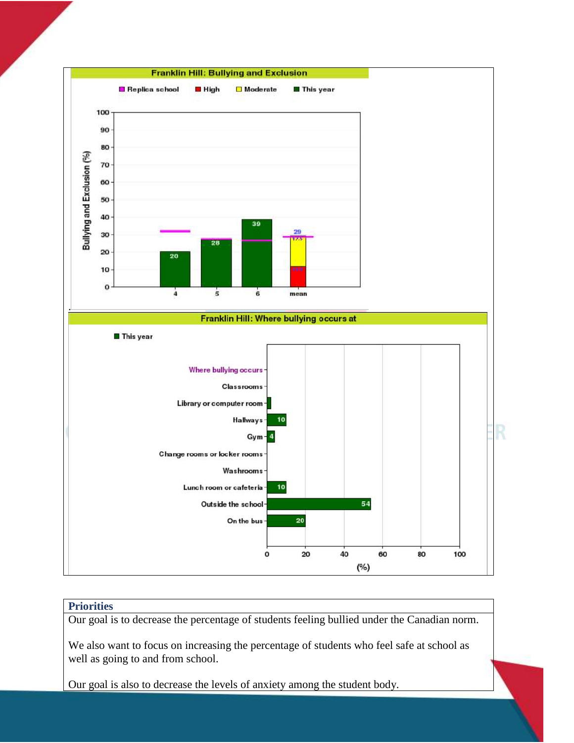

#### **Priorities**

Our goal is to decrease the percentage of students feeling bullied under the Canadian norm.

We also want to focus on increasing the percentage of students who feel safe at school as well as going to and from school.

Our goal is also to decrease the levels of anxiety among the student body.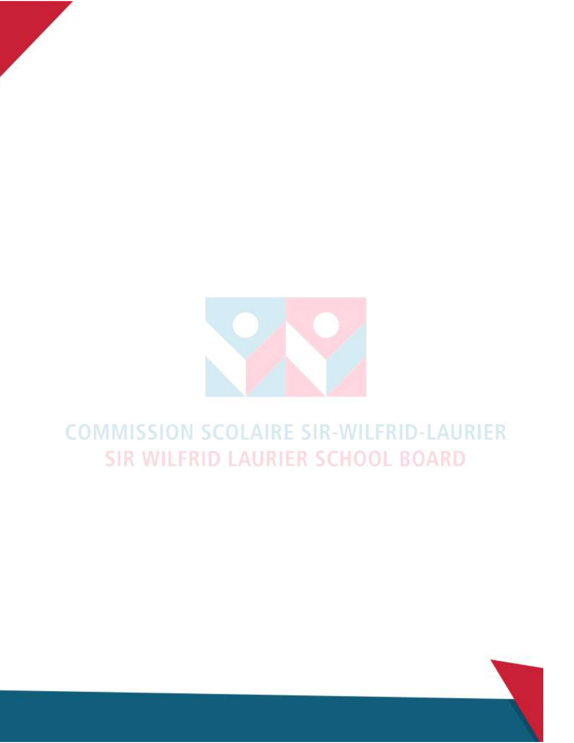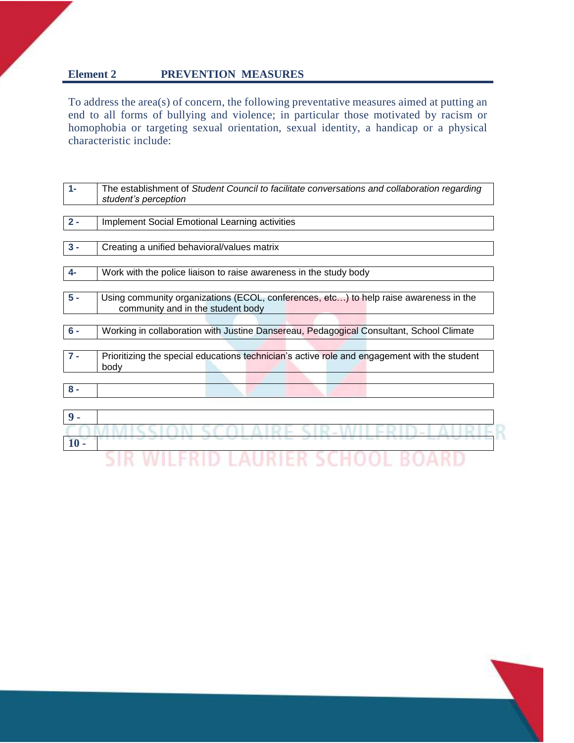#### **Element 2 PREVENTION MEASURES**

**10 -**

To address the area(s) of concern, the following preventative measures aimed at putting an end to all forms of bullying and violence; in particular those motivated by racism or homophobia or targeting sexual orientation, sexual identity, a handicap or a physical characteristic include:

| $1 -$ | The establishment of Student Council to facilitate conversations and collaboration regarding<br>student's perception       |
|-------|----------------------------------------------------------------------------------------------------------------------------|
| $2 -$ | <b>Implement Social Emotional Learning activities</b>                                                                      |
|       |                                                                                                                            |
| $3 -$ | Creating a unified behavioral/values matrix                                                                                |
|       |                                                                                                                            |
| $4-$  | Work with the police liaison to raise awareness in the study body                                                          |
| $5 -$ | Using community organizations (ECOL, conferences, etc) to help raise awareness in the<br>community and in the student body |
|       |                                                                                                                            |
| $6 -$ | Working in collaboration with Justine Dansereau, Pedagogical Consultant, School Climate                                    |
|       |                                                                                                                            |
| $7 -$ | Prioritizing the special educations technician's active role and engagement with the student<br>body                       |
|       |                                                                                                                            |
| $8 -$ |                                                                                                                            |
|       |                                                                                                                            |
| $9 -$ |                                                                                                                            |

COMMISSION SCOLAIRE SIR-WILERID-LALIRI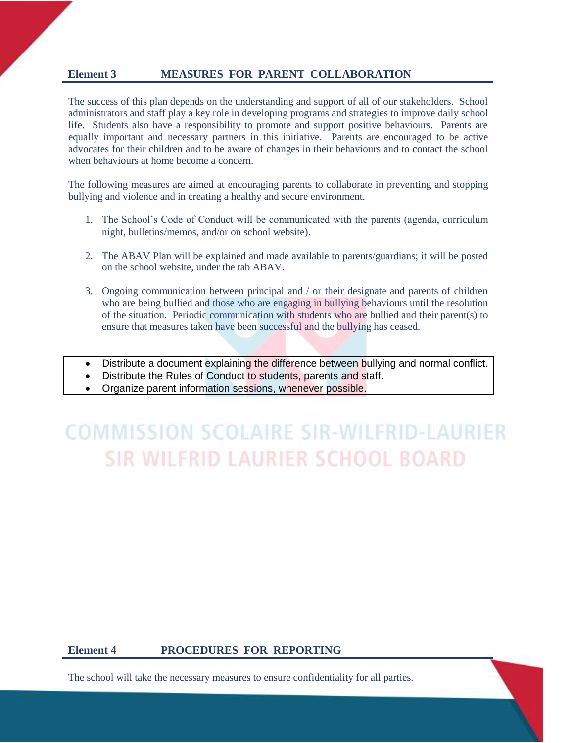#### **Element 3 MEASURES FOR PARENT COLLABORATION**

The success of this plan depends on the understanding and support of all of our stakeholders. School administrators and staff play a key role in developing programs and strategies to improve daily school life. Students also have a responsibility to promote and support positive behaviours. Parents are equally important and necessary partners in this initiative. Parents are encouraged to be active advocates for their children and to be aware of changes in their behaviours and to contact the school when behaviours at home become a concern.

The following measures are aimed at encouraging parents to collaborate in preventing and stopping bullying and violence and in creating a healthy and secure environment.

- 1. The School's Code of Conduct will be communicated with the parents (agenda, curriculum night, bulletins/memos, and/or on school website).
- 2. The ABAV Plan will be explained and made available to parents/guardians; it will be posted on the school website, under the tab ABAV.
- 3. Ongoing communication between principal and / or their designate and parents of children who are being bullied and those who are engaging in bullying behaviours until the resolution of the situation. Periodic communication with students who are bullied and their parent(s) to ensure that measures taken have been successful and the bullying has ceased.
- Distribute a document explaining the difference between bullying and normal conflict.
- Distribute the Rules of Conduct to students, parents and staff.
- Organize parent information sessions, whenever possible.

## **COMMISSION SCOLAIRE SIR-WILFRID-LAURIER SIR WILFRID LAURIER SCHOOL BOARD**

#### **Element 4 PROCEDURES FOR REPORTING**

The school will take the necessary measures to ensure confidentiality for all parties.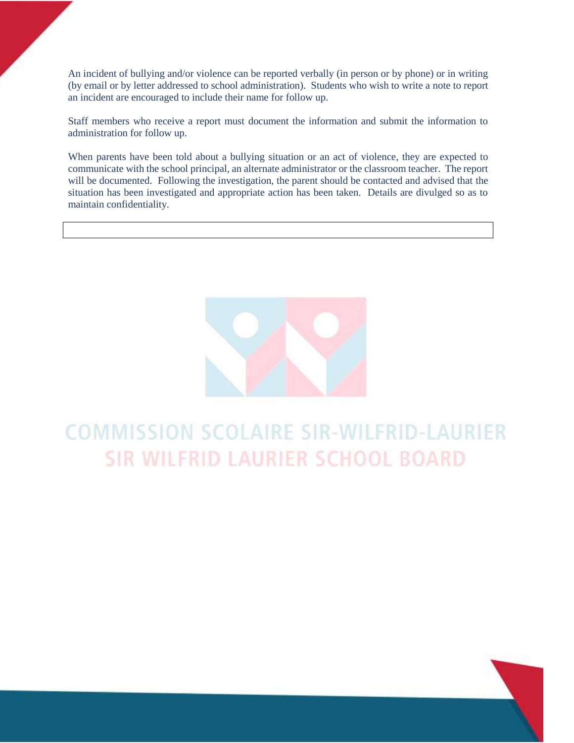An incident of bullying and/or violence can be reported verbally (in person or by phone) or in writing (by email or by letter addressed to school administration). Students who wish to write a note to report an incident are encouraged to include their name for follow up.

Staff members who receive a report must document the information and submit the information to administration for follow up.

When parents have been told about a bullying situation or an act of violence, they are expected to communicate with the school principal, an alternate administrator or the classroom teacher. The report will be documented. Following the investigation, the parent should be contacted and advised that the situation has been investigated and appropriate action has been taken. Details are divulged so as to maintain confidentiality.

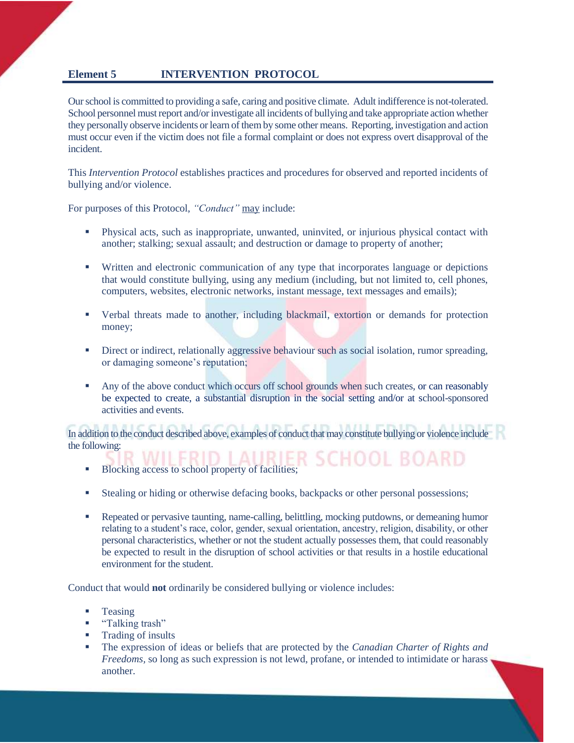#### **Element 5 INTERVENTION PROTOCOL**

Our school is committed to providing a safe, caring and positive climate. Adult indifference is not-tolerated. School personnel must report and/or investigate all incidents of bullying and take appropriate action whether they personally observe incidents or learn of them by some other means. Reporting, investigation and action must occur even if the victim does not file a formal complaint or does not express overt disapproval of the incident.

This *Intervention Protocol* establishes practices and procedures for observed and reported incidents of bullying and/or violence.

For purposes of this Protocol, *"Conduct"* may include:

- Physical acts, such as inappropriate, unwanted, uninvited, or injurious physical contact with another; stalking; sexual assault; and destruction or damage to property of another;
- Written and electronic communication of any type that incorporates language or depictions that would constitute bullying, using any medium (including, but not limited to, cell phones, computers, websites, electronic networks, instant message, text messages and emails);
- Verbal threats made to another, including blackmail, extortion or demands for protection money;
- **EXECUTE:** Direct or indirect, relationally aggressive behaviour such as social isolation, rumor spreading, or damaging someone's reputation;
- Any of the above conduct which occurs off school grounds when such creates, or can reasonably be expected to create, a substantial disruption in the social setting and/or at school-sponsored activities and events.

In addition to the conduct described above, examples of conduct that may constitute bullying or violence include the following:

- **Exercise Blocking access to school property of facilities;**
- Stealing or hiding or otherwise defacing books, backpacks or other personal possessions;
- **•** Repeated or pervasive taunting, name-calling, belittling, mocking putdowns, or demeaning humor relating to a student's race, color, gender, sexual orientation, ancestry, religion, disability, or other personal characteristics, whether or not the student actually possesses them, that could reasonably be expected to result in the disruption of school activities or that results in a hostile educational environment for the student.

Conduct that would **not** ordinarily be considered bullying or violence includes:

- **Teasing**
- "Talking trash"
- Trading of insults
- The expression of ideas or beliefs that are protected by the *Canadian Charter of Rights and Freedoms*, so long as such expression is not lewd, profane, or intended to intimidate or harass, another.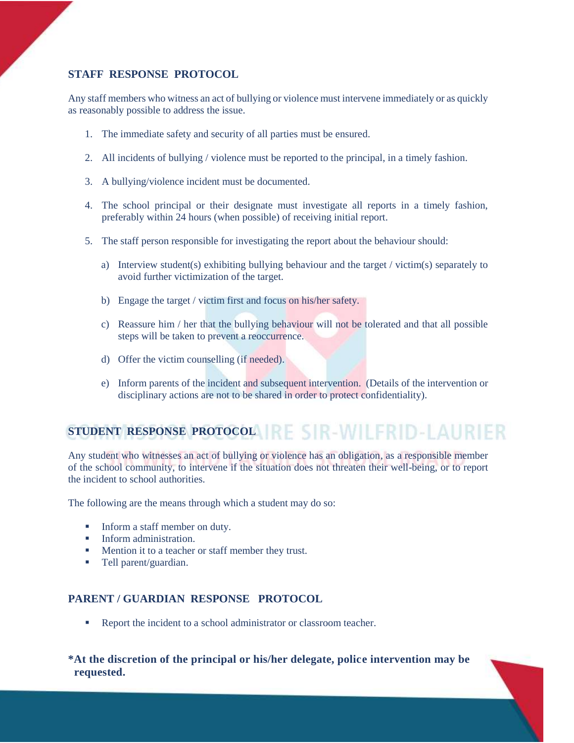#### **STAFF RESPONSE PROTOCOL**

Any staff members who witness an act of bullying or violence must intervene immediately or as quickly as reasonably possible to address the issue.

- 1. The immediate safety and security of all parties must be ensured.
- 2. All incidents of bullying / violence must be reported to the principal, in a timely fashion.
- 3. A bullying/violence incident must be documented.
- 4. The school principal or their designate must investigate all reports in a timely fashion, preferably within 24 hours (when possible) of receiving initial report.
- 5. The staff person responsible for investigating the report about the behaviour should:
	- a) Interview student(s) exhibiting bullying behaviour and the target / victim(s) separately to avoid further victimization of the target.
	- b) Engage the target / victim first and focus on his/her safety.
	- c) Reassure him / her that the bullying behaviour will not be tolerated and that all possible steps will be taken to prevent a reoccurrence.
	- d) Offer the victim counselling (if needed).
	- e) Inform parents of the incident and subsequent intervention. (Details of the intervention or disciplinary actions are not to be shared in order to protect confidentiality).

## **STUDENT RESPONSE PROTOCOL IRE SIR-WILFRID-LAURIER**

Any student who witnesses an act of bullying or violence has an obligation, as a responsible member of the school community, to intervene if the situation does not threaten their well-being, or to report the incident to school authorities.

The following are the means through which a student may do so:

- Inform a staff member on duty.
- **•** Inform administration.
- Mention it to a teacher or staff member they trust.
- Tell parent/guardian.

#### **PARENT / GUARDIAN RESPONSE PROTOCOL**

■ Report the incident to a school administrator or classroom teacher.

**\*At the discretion of the principal or his/her delegate, police intervention may be requested.**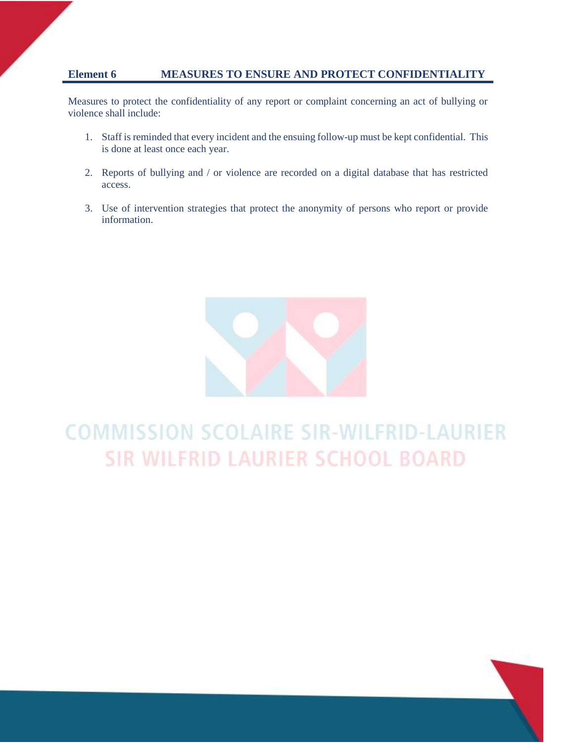#### **Element 6 MEASURES TO ENSURE AND PROTECT CONFIDENTIALITY**

Measures to protect the confidentiality of any report or complaint concerning an act of bullying or violence shall include:

- 1. Staff is reminded that every incident and the ensuing follow-up must be kept confidential. This is done at least once each year.
- 2. Reports of bullying and / or violence are recorded on a digital database that has restricted access.
- 3. Use of intervention strategies that protect the anonymity of persons who report or provide information.

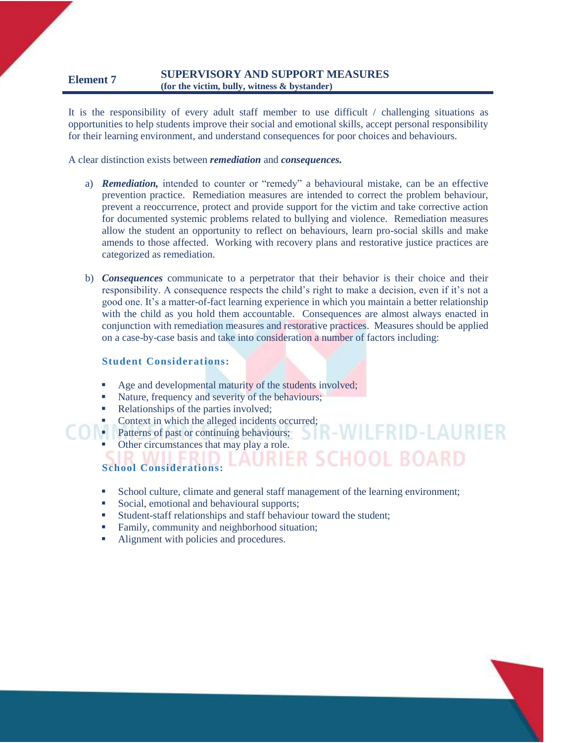#### **Element 7 SUPERVISORY AND SUPPORT MEASURES (for the victim, bully, witness & bystander)**

It is the responsibility of every adult staff member to use difficult / challenging situations as opportunities to help students improve their social and emotional skills, accept personal responsibility for their learning environment, and understand consequences for poor choices and behaviours.

A clear distinction exists between *remediation* and *consequences.*

- a) *Remediation,* intended to counter or "remedy" a behavioural mistake, can be an effective prevention practice. Remediation measures are intended to correct the problem behaviour, prevent a reoccurrence, protect and provide support for the victim and take corrective action for documented systemic problems related to bullying and violence. Remediation measures allow the student an opportunity to reflect on behaviours, learn pro-social skills and make amends to those affected. Working with recovery plans and restorative justice practices are categorized as remediation.
- b) *Consequences* communicate to a perpetrator that their behavior is their choice and their responsibility. A consequence respects the child's right to make a decision, even if it's not a good one. It's a matter-of-fact learning experience in which you maintain a better relationship with the child as you hold them accountable. Consequences are almost always enacted in conjunction with remediation measures and restorative practices. Measures should be applied on a case-by-case basis and take into consideration a number of factors including:

#### **Student Considerations:**

- Age and developmental maturity of the students involved;
- Nature, frequency and severity of the behaviours;
- Relationships of the parties involved;
- **Context in which the alleged incidents occurred;**
- **Patterns of past or continuing behaviours;**

Other circumstances that may play a role.

#### **School Considerations:**

▪ School culture, climate and general staff management of the learning environment;

**CHOOL BOARD** 

- Social, emotional and behavioural supports;
- Student-staff relationships and staff behaviour toward the student;
- Family, community and neighborhood situation;
- Alignment with policies and procedures.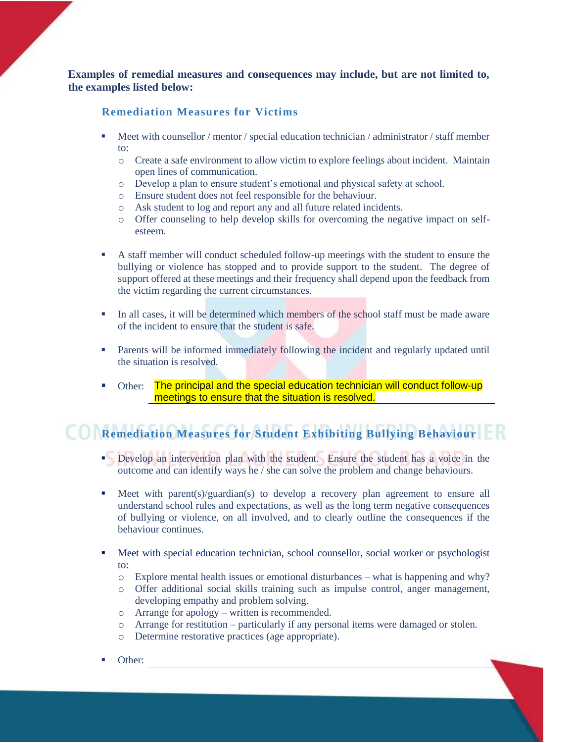**Examples of remedial measures and consequences may include, but are not limited to, the examples listed below:**

#### **Remediation Measures for Victims**

- **EXECUTE:** Meet with counsellor / mentor / special education technician / administrator / staff member to:
	- o Create a safe environment to allow victim to explore feelings about incident. Maintain open lines of communication.
	- o Develop a plan to ensure student's emotional and physical safety at school.
	- o Ensure student does not feel responsible for the behaviour.
	- o Ask student to log and report any and all future related incidents.
	- o Offer counseling to help develop skills for overcoming the negative impact on selfesteem.
- A staff member will conduct scheduled follow-up meetings with the student to ensure the bullying or violence has stopped and to provide support to the student. The degree of support offered at these meetings and their frequency shall depend upon the feedback from the victim regarding the current circumstances.
- **I.** In all cases, it will be determined which members of the school staff must be made aware of the incident to ensure that the student is safe.
- **•** Parents will be informed immediately following the incident and regularly updated until the situation is resolved.
- Other: The principal and the special education technician will conduct follow-up meetings to ensure that the situation is resolved.

### **Remediation Measures for Student Exhibiting Bullying Behaviour**

- **•** Develop an intervention plan with the student. Ensure the student has a voice in the outcome and can identify ways he / she can solve the problem and change behaviours.
- **•** Meet with parent(s)/guardian(s) to develop a recovery plan agreement to ensure all understand school rules and expectations, as well as the long term negative consequences of bullying or violence, on all involved, and to clearly outline the consequences if the behaviour continues.
- **•** Meet with special education technician, school counsellor, social worker or psychologist to:
	- o Explore mental health issues or emotional disturbances what is happening and why?
	- o Offer additional social skills training such as impulse control, anger management, developing empathy and problem solving.
	- o Arrange for apology written is recommended.
	- o Arrange for restitution particularly if any personal items were damaged or stolen.
	- o Determine restorative practices (age appropriate).
- Other: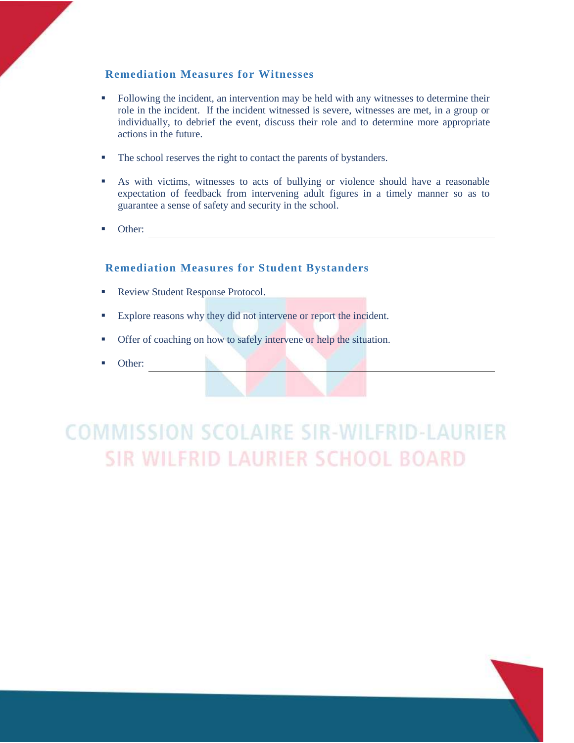#### **Remediation Measures for Witnesses**

- Following the incident, an intervention may be held with any witnesses to determine their role in the incident. If the incident witnessed is severe, witnesses are met, in a group or individually, to debrief the event, discuss their role and to determine more appropriate actions in the future.
- **The school reserves the right to contact the parents of bystanders.**
- As with victims, witnesses to acts of bullying or violence should have a reasonable expectation of feedback from intervening adult figures in a timely manner so as to guarantee a sense of safety and security in the school.
- Other:

#### **Remediation Measures for Student Bystanders**

- Review Student Response Protocol.
- Explore reasons why they did not intervene or report the incident.
- **•** Offer of coaching on how to safely intervene or help the situation.
- Other: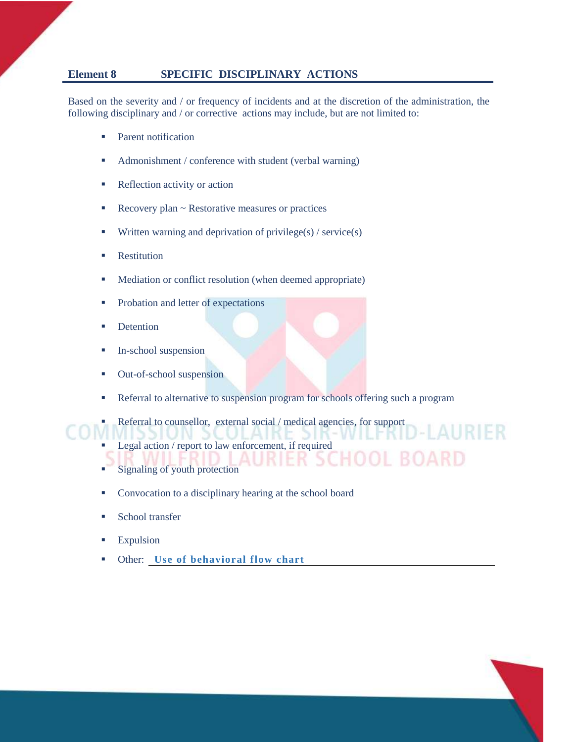#### **Element 8 SPECIFIC DISCIPLINARY ACTIONS**

Based on the severity and / or frequency of incidents and at the discretion of the administration, the following disciplinary and / or corrective actions may include, but are not limited to:

- Parent notification
- Admonishment / conference with student (verbal warning)
- Reflection activity or action
- Recovery plan ~ Restorative measures or practices
- **•** Written warning and deprivation of privilege(s) / service(s)
- **Restitution**
- Mediation or conflict resolution (when deemed appropriate)
- **•** Probation and letter of expectations
- **•** Detention
- **In-school suspension**
- Out-of-school suspension
- **EXECUTE:** Referral to alternative to suspension program for schools offering such a program

AURIER

Referral to counsellor, external social / medical agencies, for support

- Legal action / report to law enforcement, if required
- Signaling of youth protection
- Convocation to a disciplinary hearing at the school board
- School transfer
- **Expulsion**
- Other: Use of behavioral flow chart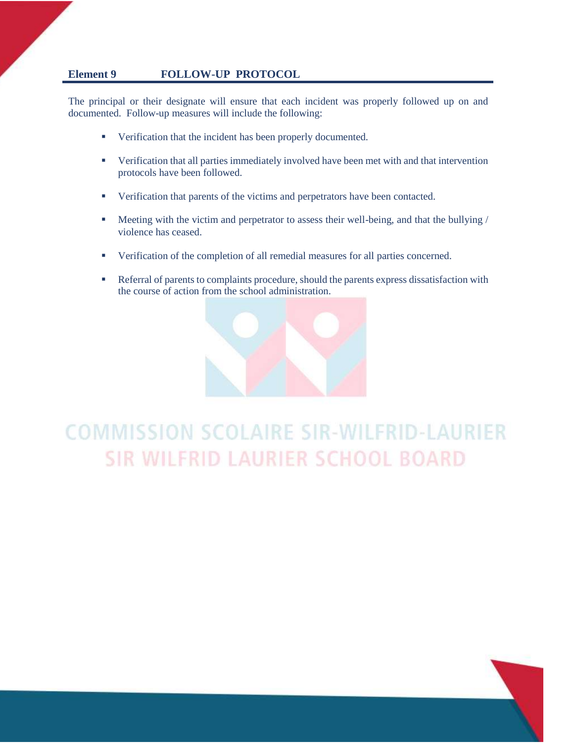#### **Element 9 FOLLOW-UP PROTOCOL**

The principal or their designate will ensure that each incident was properly followed up on and documented. Follow-up measures will include the following:

- Verification that the incident has been properly documented.
- Verification that all parties immediately involved have been met with and that intervention protocols have been followed.
- Verification that parents of the victims and perpetrators have been contacted.
- Meeting with the victim and perpetrator to assess their well-being, and that the bullying / violence has ceased.
- Verification of the completion of all remedial measures for all parties concerned.
- Referral of parents to complaints procedure, should the parents express dissatisfaction with the course of action from the school administration.